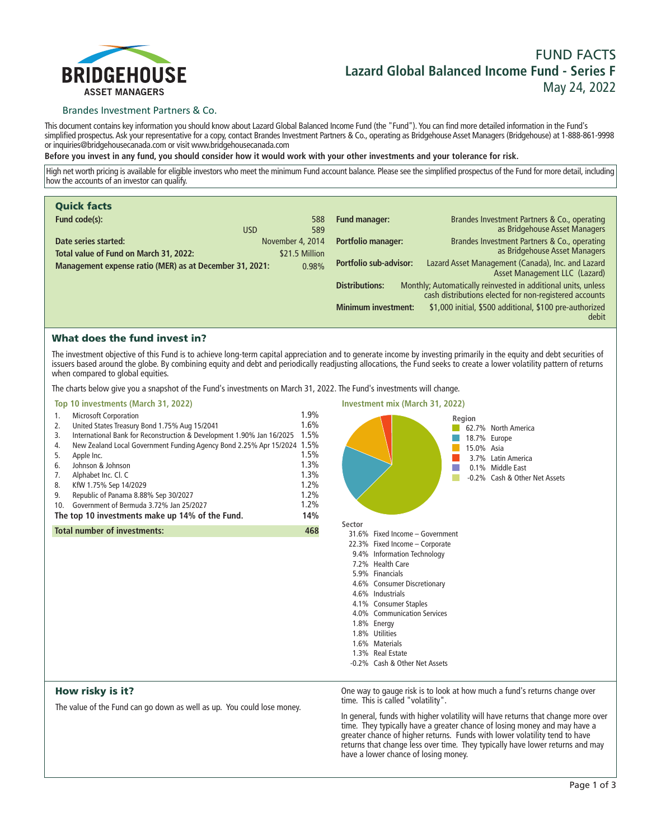

# **FUND FACTS Lazard Global Balanced Income Fund - Series F May 24, 2022**

## Brandes Investment Partners & Co.

**This document contains key information you should know about Lazard Global Balanced Income Fund (the "Fund"). You can find more detailed information in the Fund's simplified prospectus. Ask your representative for a copy, contact Brandes Investment Partners & Co., operating as Bridgehouse Asset Managers (Bridgehouse) at 1-888-861-9998 or inquiries@bridgehousecanada.com or visit www.bridgehousecanada.com**

**Before you invest in any fund, you should consider how it would work with your other investments and your tolerance for risk.**

**High net worth pricing is available for eligible investors who meet the minimum Fund account balance. Please see the simplified prospectus of the Fund for more detail, including how the accounts of an investor can qualify.**

| <b>Quick facts</b>                                      |                  |       |                               |                                                                                                                         |
|---------------------------------------------------------|------------------|-------|-------------------------------|-------------------------------------------------------------------------------------------------------------------------|
| Fund code(s):                                           |                  | 588   | <b>Fund manager:</b>          | Brandes Investment Partners & Co., operating                                                                            |
|                                                         | <b>USD</b>       | 589   |                               | as Bridgehouse Asset Managers                                                                                           |
| Date series started:                                    | November 4, 2014 |       | <b>Portfolio manager:</b>     | Brandes Investment Partners & Co., operating                                                                            |
| Total value of Fund on March 31, 2022:                  | \$21.5 Million   |       |                               | as Bridgehouse Asset Managers                                                                                           |
| Management expense ratio (MER) as at December 31, 2021: |                  | 0.98% | <b>Portfolio sub-advisor:</b> | Lazard Asset Management (Canada), Inc. and Lazard<br>Asset Management LLC (Lazard)                                      |
|                                                         |                  |       | <b>Distributions:</b>         | Monthly; Automatically reinvested in additional units, unless<br>cash distributions elected for non-registered accounts |
|                                                         |                  |       | <b>Minimum investment:</b>    | \$1,000 initial, \$500 additional, \$100 pre-authorized<br>debit                                                        |

## What does the fund invest in?

**The investment objective of this Fund is to achieve long-term capital appreciation and to generate income by investing primarily in the equity and debt securities of issuers based around the globe. By combining equity and debt and periodically readjusting allocations, the Fund seeks to create a lower volatility pattern of returns when compared to global equities.**

**The charts below give you a snapshot of the Fund's investments on March 31, 2022. The Fund's investments will change.**

## **Top 10 investments (March 31, 2022)**

|                                                 | 1.  | <b>Microsoft Corporation</b>                                            | 1.9% |
|-------------------------------------------------|-----|-------------------------------------------------------------------------|------|
|                                                 | 2.  | United States Treasury Bond 1.75% Aug 15/2041                           | 1.6% |
|                                                 | 3.  | International Bank for Reconstruction & Development 1.90% Jan 16/2025   | 1.5% |
|                                                 | 4.  | New Zealand Local Government Funding Agency Bond 2.25% Apr 15/2024 1.5% |      |
|                                                 | 5.  | Apple Inc.                                                              | 1.5% |
|                                                 | 6.  | Johnson & Johnson                                                       | 1.3% |
|                                                 | 7.  | Alphabet Inc. Cl. C                                                     | 1.3% |
|                                                 | 8.  | KfW 1.75% Sep 14/2029                                                   | 1.2% |
|                                                 | 9.  | Republic of Panama 8.88% Sep 30/2027                                    | 1.2% |
|                                                 | 10. | Government of Bermuda 3.72% Jan 25/2027                                 | 1.2% |
| The top 10 investments make up 14% of the Fund. |     |                                                                         | 14%  |
|                                                 |     | <b>Total number of investments:</b>                                     | 468  |
|                                                 |     |                                                                         |      |



## How risky is it?

**The value of the Fund can go down as well as up. You could lose money.**

**One way to gauge risk is to look at how much a fund's returns change over time. This is called "volatility".**

**In general, funds with higher volatility will have returns that change more over time. They typically have a greater chance of losing money and may have a greater chance of higher returns. Funds with lower volatility tend to have returns that change less over time. They typically have lower returns and may have a lower chance of losing money.**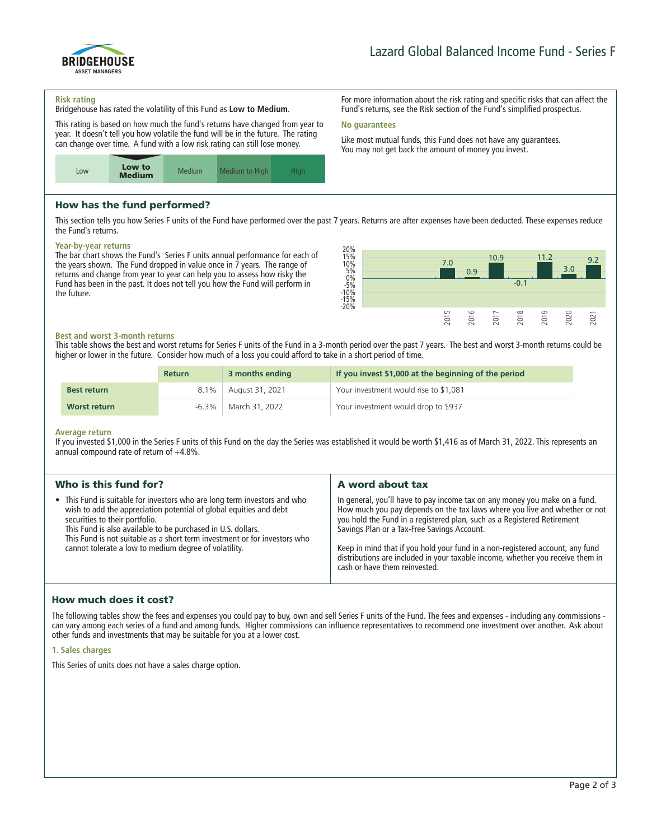

**For more information about the risk rating and specific risks that can affect the Fund's returns, see the Risk section of the Fund's simplified prospectus.**

**Like most mutual funds, this Fund does not have any guarantees. You may not get back the amount of money you invest.**

#### **Risk rating**

**Bridgehouse has rated the volatility of this Fund as Low to Medium.**

**This rating is based on how much the fund's returns have changed from year to year. It doesn't tell you how volatile the fund will be in the future. The rating can change over time. A fund with a low risk rating can still lose money.**



## How has the fund performed?

**This section tells you how Series F units of the Fund have performed over the past 7 years. Returns are after expenses have been deducted. These expenses reduce the Fund's returns.**

**No guarantees**

#### **Year-by-year returns**

**The bar chart shows the Fund's Series F units annual performance for each of the years shown. The Fund dropped in value once in 7 years. The range of returns and change from year to year can help you to assess how risky the Fund has been in the past. It does not tell you how the Fund will perform in the future.**



## **Best and worst 3-month returns**

**This table shows the best and worst returns for Series F units of the Fund in a 3-month period over the past 7 years. The best and worst 3-month returns could be higher or lower in the future. Consider how much of a loss you could afford to take in a short period of time.**

|                    | <b>Return</b> | 3 months ending | If you invest \$1,000 at the beginning of the period |
|--------------------|---------------|-----------------|------------------------------------------------------|
| <b>Best return</b> | $8.1\%$       | August 31, 2021 | Your investment would rise to \$1,081                |
| Worst return       | -6.3% +       | March 31, 2022  | Your investment would drop to \$937                  |

#### **Average return**

**If you invested \$1,000 in the Series F units of this Fund on the day the Series was established it would be worth \$1,416 as of March 31, 2022. This represents an annual compound rate of return of +4.8%.**

| Who is this fund for?                                                                                                                                                                                                                                                                                                                                                                   | A word about tax                                                                                                                                                                                                                                                                                                                                                                                                                                                                       |  |  |
|-----------------------------------------------------------------------------------------------------------------------------------------------------------------------------------------------------------------------------------------------------------------------------------------------------------------------------------------------------------------------------------------|----------------------------------------------------------------------------------------------------------------------------------------------------------------------------------------------------------------------------------------------------------------------------------------------------------------------------------------------------------------------------------------------------------------------------------------------------------------------------------------|--|--|
| • This Fund is suitable for investors who are long term investors and who<br>wish to add the appreciation potential of global equities and debt<br>securities to their portfolio.<br>This Fund is also available to be purchased in U.S. dollars.<br>This Fund is not suitable as a short term investment or for investors who<br>cannot tolerate a low to medium degree of volatility. | In general, you'll have to pay income tax on any money you make on a fund.<br>How much you pay depends on the tax laws where you live and whether or not<br>you hold the Fund in a registered plan, such as a Registered Retirement<br>Savings Plan or a Tax-Free Savings Account.<br>Keep in mind that if you hold your fund in a non-registered account, any fund<br>distributions are included in your taxable income, whether you receive them in<br>cash or have them reinvested. |  |  |
|                                                                                                                                                                                                                                                                                                                                                                                         |                                                                                                                                                                                                                                                                                                                                                                                                                                                                                        |  |  |

## How much does it cost?

**The following tables show the fees and expenses you could pay to buy, own and sell Series F units of the Fund. The fees and expenses - including any commissions can vary among each series of a fund and among funds. Higher commissions can influence representatives to recommend one investment over another. Ask about other funds and investments that may be suitable for you at a lower cost.**

#### **1. Sales charges**

**This Series of units does not have a sales charge option.**